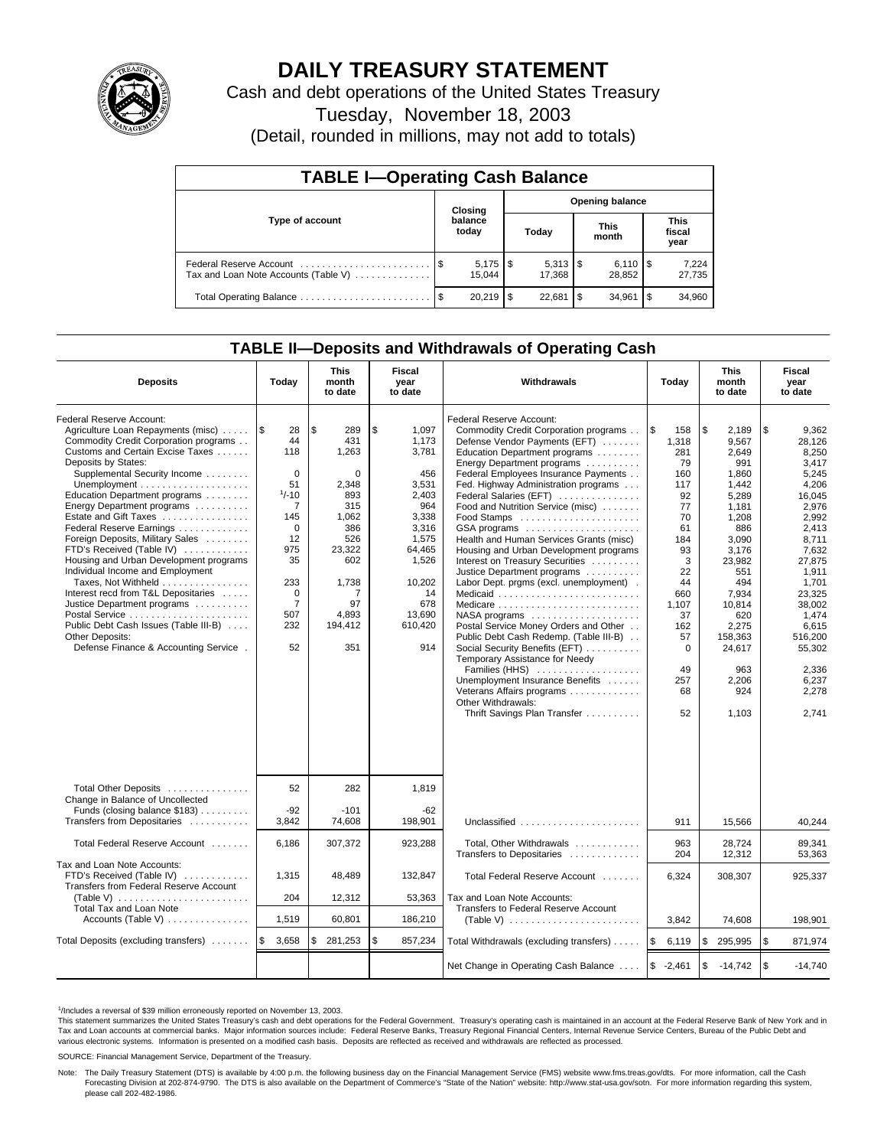

# **DAILY TREASURY STATEMENT**

Cash and debt operations of the United States Treasury

Tuesday, November 18, 2003

(Detail, rounded in millions, may not add to totals)

| <b>TABLE I-Operating Cash Balance</b> |      |                                   |     |                                 |    |                              |      |                               |  |
|---------------------------------------|------|-----------------------------------|-----|---------------------------------|----|------------------------------|------|-------------------------------|--|
| Type of account                       |      | <b>Opening balance</b><br>Closing |     |                                 |    |                              |      |                               |  |
|                                       |      | balance<br>today                  |     | Today                           |    | <b>This</b><br>month         |      | <b>This</b><br>fiscal<br>year |  |
| Tax and Loan Note Accounts (Table V)  |      | $5,175$ $\sqrt{5}$<br>15.044      |     | $5,313$ $\frac{1}{3}$<br>17.368 |    | $6,110$ $\sqrt{5}$<br>28.852 |      | 7,224<br>27,735               |  |
| Total Operating Balance               | - \$ | 20.219                            | \$. | 22,681                          | \$ | 34.961                       | l \$ | 34,960                        |  |

## **TABLE II—Deposits and Withdrawals of Operating Cash**

| <b>Deposits</b>                                                                                                                                                                                                                                                                                                                                                                                                                                                                                                                                                                                                                                                         | Today                                                                                                                                                                         | <b>This</b><br>month<br>to date                                                                                                                          | Fiscal<br>year<br>to date                                                                                                                                      | <b>Withdrawals</b>                                                                                                                                                                                                                                                                                                                                                                                                                                                                                                                                                                                                                                                                                                                                                                                                                                                                        | <b>This</b><br>Today<br>month<br>to date                                                                                                                                        |                                                                                                                                                                                                                            | Fiscal<br>year<br>to date                                                                                                                                                                                                                   |
|-------------------------------------------------------------------------------------------------------------------------------------------------------------------------------------------------------------------------------------------------------------------------------------------------------------------------------------------------------------------------------------------------------------------------------------------------------------------------------------------------------------------------------------------------------------------------------------------------------------------------------------------------------------------------|-------------------------------------------------------------------------------------------------------------------------------------------------------------------------------|----------------------------------------------------------------------------------------------------------------------------------------------------------|----------------------------------------------------------------------------------------------------------------------------------------------------------------|-------------------------------------------------------------------------------------------------------------------------------------------------------------------------------------------------------------------------------------------------------------------------------------------------------------------------------------------------------------------------------------------------------------------------------------------------------------------------------------------------------------------------------------------------------------------------------------------------------------------------------------------------------------------------------------------------------------------------------------------------------------------------------------------------------------------------------------------------------------------------------------------|---------------------------------------------------------------------------------------------------------------------------------------------------------------------------------|----------------------------------------------------------------------------------------------------------------------------------------------------------------------------------------------------------------------------|---------------------------------------------------------------------------------------------------------------------------------------------------------------------------------------------------------------------------------------------|
| Federal Reserve Account:<br>Agriculture Loan Repayments (misc)<br>Commodity Credit Corporation programs<br>Customs and Certain Excise Taxes<br>Deposits by States:<br>Supplemental Security Income<br>Education Department programs<br>Energy Department programs<br>Estate and Gift Taxes<br>Federal Reserve Earnings<br>Foreign Deposits, Military Sales<br>FTD's Received (Table IV)<br>Housing and Urban Development programs<br>Individual Income and Employment<br>Taxes, Not Withheld<br>Interest recd from T&L Depositaries<br>Justice Department programs<br>Public Debt Cash Issues (Table III-B)<br>Other Deposits:<br>Defense Finance & Accounting Service. | 1\$<br>28<br>44<br>118<br>$\mathbf 0$<br>51<br>$1/-10$<br>$\overline{7}$<br>145<br>$\mathbf 0$<br>12<br>975<br>35<br>233<br>$\mathbf 0$<br>$\overline{7}$<br>507<br>232<br>52 | l \$<br>289<br>431<br>1,263<br>$\mathbf 0$<br>2,348<br>893<br>315<br>1,062<br>386<br>526<br>23,322<br>602<br>1,738<br>7<br>97<br>4,893<br>194,412<br>351 | \$<br>1.097<br>1.173<br>3,781<br>456<br>3,531<br>2,403<br>964<br>3,338<br>3,316<br>1,575<br>64,465<br>1,526<br>10,202<br>14<br>678<br>13,690<br>610,420<br>914 | Federal Reserve Account:<br>Commodity Credit Corporation programs<br>Defense Vendor Payments (EFT)<br>Education Department programs<br>Energy Department programs<br>Federal Employees Insurance Payments<br>Fed. Highway Administration programs<br>Federal Salaries (EFT)<br>Food and Nutrition Service (misc)<br>Food Stamps<br>GSA programs<br>Health and Human Services Grants (misc)<br>Housing and Urban Development programs<br>Interest on Treasury Securities<br>Justice Department programs<br>Labor Dept. prgms (excl. unemployment).<br>Medicaid<br>Medicare<br>NASA programs<br>Postal Service Money Orders and Other<br>Public Debt Cash Redemp. (Table III-B)<br>Social Security Benefits (EFT)<br>Temporary Assistance for Needy<br>Families (HHS)<br>Unemployment Insurance Benefits<br>Veterans Affairs programs<br>Other Withdrawals:<br>Thrift Savings Plan Transfer | l\$<br>158<br>1,318<br>281<br>79<br>160<br>117<br>92<br>77<br>70<br>61<br>184<br>93<br>3<br>22<br>44<br>660<br>1,107<br>37<br>162<br>57<br>$\mathbf 0$<br>49<br>257<br>68<br>52 | \$<br>2.189<br>9,567<br>2,649<br>991<br>1,860<br>1,442<br>5.289<br>1.181<br>1,208<br>886<br>3,090<br>3,176<br>23.982<br>551<br>494<br>7,934<br>10,814<br>620<br>2,275<br>158,363<br>24,617<br>963<br>2,206<br>924<br>1,103 | \$<br>9,362<br>28,126<br>8,250<br>3,417<br>5,245<br>4,206<br>16.045<br>2,976<br>2,992<br>2.413<br>8,711<br>7,632<br>27.875<br>1,911<br>1.701<br>23,325<br>38,002<br>1,474<br>6.615<br>516,200<br>55,302<br>2,336<br>6,237<br>2.278<br>2.741 |
| Total Other Deposits<br>Change in Balance of Uncollected<br>Funds (closing balance \$183)<br>Transfers from Depositaries                                                                                                                                                                                                                                                                                                                                                                                                                                                                                                                                                | 52<br>$-92$<br>3,842                                                                                                                                                          | 282<br>$-101$<br>74,608                                                                                                                                  | 1,819<br>$-62$<br>198,901                                                                                                                                      | Unclassified                                                                                                                                                                                                                                                                                                                                                                                                                                                                                                                                                                                                                                                                                                                                                                                                                                                                              | 911                                                                                                                                                                             | 15,566                                                                                                                                                                                                                     | 40,244                                                                                                                                                                                                                                      |
| Total Federal Reserve Account                                                                                                                                                                                                                                                                                                                                                                                                                                                                                                                                                                                                                                           | 6,186                                                                                                                                                                         | 307,372                                                                                                                                                  | 923,288                                                                                                                                                        | Total, Other Withdrawals                                                                                                                                                                                                                                                                                                                                                                                                                                                                                                                                                                                                                                                                                                                                                                                                                                                                  | 963                                                                                                                                                                             | 28.724                                                                                                                                                                                                                     | 89.341                                                                                                                                                                                                                                      |
| Tax and Loan Note Accounts:<br>FTD's Received (Table IV)<br>Transfers from Federal Reserve Account<br>(Table V) $\ldots \ldots \ldots \ldots \ldots \ldots \ldots$<br>Total Tax and Loan Note                                                                                                                                                                                                                                                                                                                                                                                                                                                                           | 1,315<br>204                                                                                                                                                                  | 48,489<br>12,312                                                                                                                                         | 132,847<br>53,363                                                                                                                                              | Transfers to Depositaries<br>Total Federal Reserve Account<br>Tax and Loan Note Accounts:<br>Transfers to Federal Reserve Account                                                                                                                                                                                                                                                                                                                                                                                                                                                                                                                                                                                                                                                                                                                                                         | 204<br>6,324                                                                                                                                                                    | 12,312<br>308,307                                                                                                                                                                                                          | 53,363<br>925,337                                                                                                                                                                                                                           |
| Accounts (Table V) $\dots \dots \dots \dots$                                                                                                                                                                                                                                                                                                                                                                                                                                                                                                                                                                                                                            | 1,519                                                                                                                                                                         | 60,801                                                                                                                                                   | 186,210                                                                                                                                                        |                                                                                                                                                                                                                                                                                                                                                                                                                                                                                                                                                                                                                                                                                                                                                                                                                                                                                           | 3,842                                                                                                                                                                           | 74,608                                                                                                                                                                                                                     | 198,901                                                                                                                                                                                                                                     |
| Total Deposits (excluding transfers)                                                                                                                                                                                                                                                                                                                                                                                                                                                                                                                                                                                                                                    | 1\$<br>3,658                                                                                                                                                                  | 281,253<br>\$                                                                                                                                            | \$<br>857,234                                                                                                                                                  | Total Withdrawals (excluding transfers)                                                                                                                                                                                                                                                                                                                                                                                                                                                                                                                                                                                                                                                                                                                                                                                                                                                   | 5<br>6,119                                                                                                                                                                      | \$<br>295,995                                                                                                                                                                                                              | \$<br>871,974                                                                                                                                                                                                                               |
|                                                                                                                                                                                                                                                                                                                                                                                                                                                                                                                                                                                                                                                                         |                                                                                                                                                                               |                                                                                                                                                          |                                                                                                                                                                | Net Change in Operating Cash Balance                                                                                                                                                                                                                                                                                                                                                                                                                                                                                                                                                                                                                                                                                                                                                                                                                                                      | $$ -2,461$                                                                                                                                                                      | \$<br>$-14,742$                                                                                                                                                                                                            | $\mathfrak{s}$<br>$-14,740$                                                                                                                                                                                                                 |

<sup>1</sup>/Includes a reversal of \$39 million erroneously reported on November 13, 2003.

This statement summarizes the United States Treasury's cash and debt operations for the Federal Government. Treasury's operating cash is maintained in an account at the Federal Reserve Bank of New York and in Tax and Loan accounts at commercial banks. Major information sources include: Federal Reserve Banks, Treasury Regional Financial Centers, Internal Revenue Service Centers, Bureau of the Public Debt and<br>various electronic s

SOURCE: Financial Management Service, Department of the Treasury.

Note: The Daily Treasury Statement (DTS) is available by 4:00 p.m. the following business day on the Financial Management Service (FMS) website www.fms.treas.gov/dts. For more information, call the Cash<br>Forecasting Divisio please call 202-482-1986.